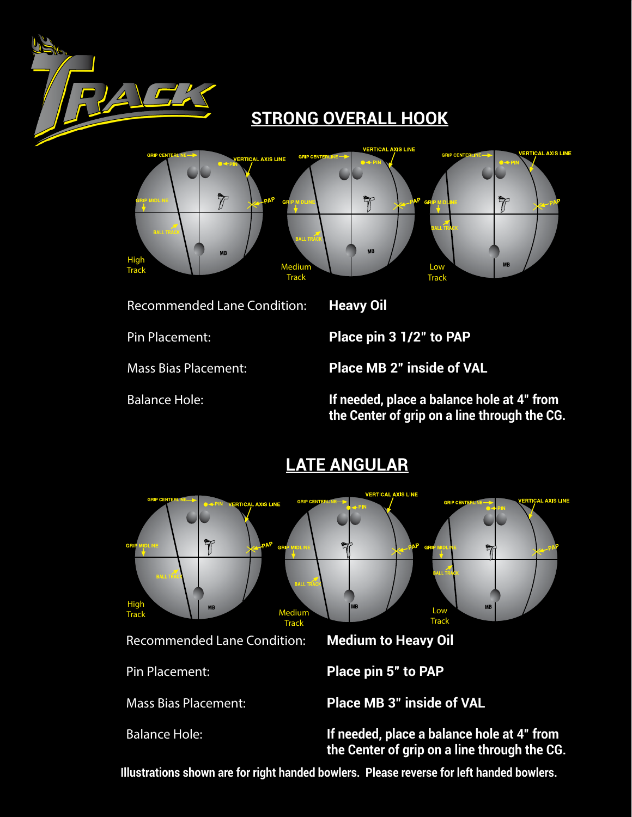

Recommended Lane Condition: **Heavy Oil**

Pin Placement: **Place pin 3 1/2" to PAP**

Mass Bias Placement: **Place MB 2" inside of VAL**

Balance Hole: **If needed, place a balance hole at 4" from the Center of grip on a line through the CG.**



**Illustrations shown are for right handed bowlers. Please reverse for left handed bowlers.**